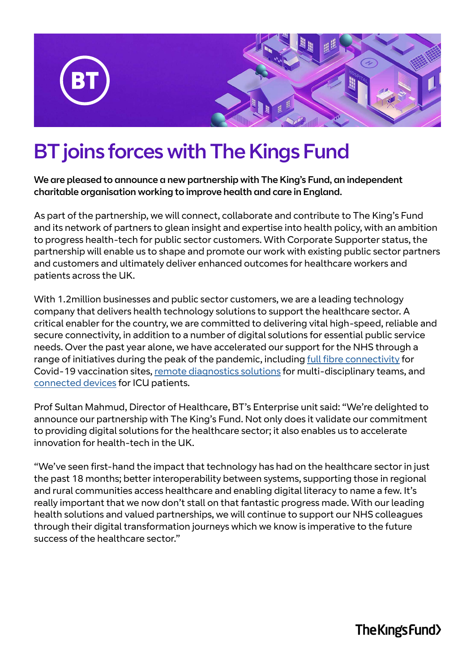

## BT joins forces with The Kings Fund

We are pleased to announce a new partnership with The King's Fund, an independent charitable organisation working to improve health and care in England.

As part of the partnership, we will connect, collaborate and contribute to The King's Fund and its network of partners to glean insight and expertise into health policy, with an ambition to progress health-tech for public sector customers. With Corporate Supporter status, the partnership will enable us to shape and promote our work with existing public sector partners and customers and ultimately deliver enhanced outcomes for healthcare workers and patients across the UK.

With 1.2million businesses and public sector customers, we are a leading technology company that delivers health technology solutions to support the healthcare sector. A critical enabler for the country, we are committed to delivering vital high-speed, reliable and secure connectivity, in addition to a number of digital solutions for essential public service needs. Over the past year alone, we have accelerated our support for the NHS through a range of initiatives during the peak of the pandemic, including [full fibre connectivity](https://newsroom.bt.com/bt-fibres-up-network-of-covid-19-vaccination-centres-to-help-nhs-protect-the-public/) for Covid-19 vaccination sites, [remote diagnostics solutions](https://newsroom.bt.com/uks-largest-nhs-trust-uses-new-bt-technology-to-treat-patients-remotely/) for multi-disciplinary teams, and [connected devices](https://www.kcl.ac.uk/news/life-lines-keeping-families-connected) for ICU patients.

Prof Sultan Mahmud, Director of Healthcare, BT's Enterprise unit said: "We're delighted to announce our partnership with The King's Fund. Not only does it validate our commitment to providing digital solutions for the healthcare sector; it also enables us to accelerate innovation for health-tech in the UK.

"We've seen first-hand the impact that technology has had on the healthcare sector in just the past 18 months; better interoperability between systems, supporting those in regional and rural communities access healthcare and enabling digital literacy to name a few. It's really important that we now don't stall on that fantastic progress made. With our leading health solutions and valued partnerships, we will continue to support our NHS colleagues through their digital transformation journeys which we know is imperative to the future success of the healthcare sector."

The Kings Fund>